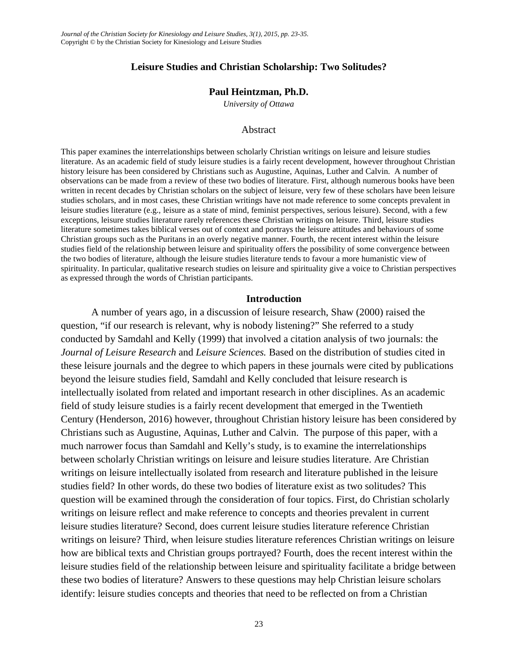# **Leisure Studies and Christian Scholarship: Two Solitudes?**

# **Paul Heintzman, Ph.D.**

*University of Ottawa*

### Abstract

This paper examines the interrelationships between scholarly Christian writings on leisure and leisure studies literature. As an academic field of study leisure studies is a fairly recent development, however throughout Christian history leisure has been considered by Christians such as Augustine, Aquinas, Luther and Calvin. A number of observations can be made from a review of these two bodies of literature. First, although numerous books have been written in recent decades by Christian scholars on the subject of leisure, very few of these scholars have been leisure studies scholars, and in most cases, these Christian writings have not made reference to some concepts prevalent in leisure studies literature (e.g., leisure as a state of mind, feminist perspectives, serious leisure). Second, with a few exceptions, leisure studies literature rarely references these Christian writings on leisure. Third, leisure studies literature sometimes takes biblical verses out of context and portrays the leisure attitudes and behaviours of some Christian groups such as the Puritans in an overly negative manner. Fourth, the recent interest within the leisure studies field of the relationship between leisure and spirituality offers the possibility of some convergence between the two bodies of literature, although the leisure studies literature tends to favour a more humanistic view of spirituality. In particular, qualitative research studies on leisure and spirituality give a voice to Christian perspectives as expressed through the words of Christian participants.

#### **Introduction**

A number of years ago, in a discussion of leisure research, Shaw (2000) raised the question, "if our research is relevant, why is nobody listening?" She referred to a study conducted by Samdahl and Kelly (1999) that involved a citation analysis of two journals: the *Journal of Leisure Research* and *Leisure Sciences.* Based on the distribution of studies cited in these leisure journals and the degree to which papers in these journals were cited by publications beyond the leisure studies field, Samdahl and Kelly concluded that leisure research is intellectually isolated from related and important research in other disciplines. As an academic field of study leisure studies is a fairly recent development that emerged in the Twentieth Century (Henderson, 2016) however, throughout Christian history leisure has been considered by Christians such as Augustine, Aquinas, Luther and Calvin. The purpose of this paper, with a much narrower focus than Samdahl and Kelly's study, is to examine the interrelationships between scholarly Christian writings on leisure and leisure studies literature. Are Christian writings on leisure intellectually isolated from research and literature published in the leisure studies field? In other words, do these two bodies of literature exist as two solitudes? This question will be examined through the consideration of four topics. First, do Christian scholarly writings on leisure reflect and make reference to concepts and theories prevalent in current leisure studies literature? Second, does current leisure studies literature reference Christian writings on leisure? Third, when leisure studies literature references Christian writings on leisure how are biblical texts and Christian groups portrayed? Fourth, does the recent interest within the leisure studies field of the relationship between leisure and spirituality facilitate a bridge between these two bodies of literature? Answers to these questions may help Christian leisure scholars identify: leisure studies concepts and theories that need to be reflected on from a Christian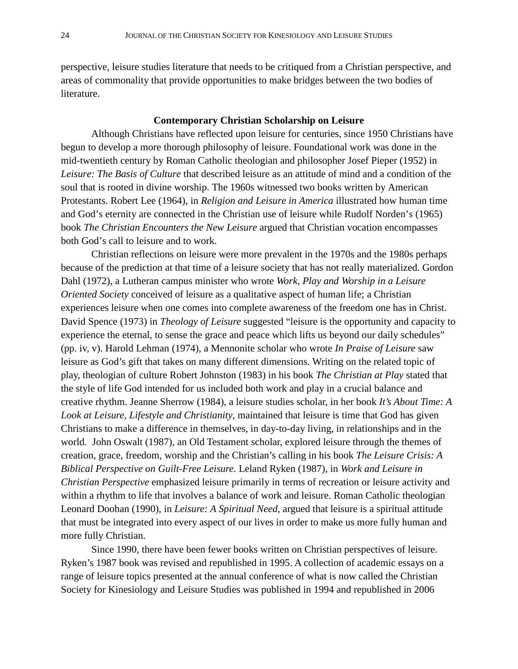perspective, leisure studies literature that needs to be critiqued from a Christian perspective, and areas of commonality that provide opportunities to make bridges between the two bodies of literature.

# **Contemporary Christian Scholarship on Leisure**

Although Christians have reflected upon leisure for centuries, since 1950 Christians have begun to develop a more thorough philosophy of leisure. Foundational work was done in the mid-twentieth century by Roman Catholic theologian and philosopher Josef Pieper (1952) in *Leisure: The Basis of Culture* that described leisure as an attitude of mind and a condition of the soul that is rooted in divine worship. The 1960s witnessed two books written by American Protestants. Robert Lee (1964), in *Religion and Leisure in America* illustrated how human time and God's eternity are connected in the Christian use of leisure while Rudolf Norden's (1965) book *The Christian Encounters the New Leisure* argued that Christian vocation encompasses both God's call to leisure and to work.

Christian reflections on leisure were more prevalent in the 1970s and the 1980s perhaps because of the prediction at that time of a leisure society that has not really materialized. Gordon Dahl (1972), a Lutheran campus minister who wrote *Work, Play and Worship in a Leisure Oriented Society* conceived of leisure as a qualitative aspect of human life; a Christian experiences leisure when one comes into complete awareness of the freedom one has in Christ. David Spence (1973) in *Theology of Leisure* suggested "leisure is the opportunity and capacity to experience the eternal, to sense the grace and peace which lifts us beyond our daily schedules" (pp. iv, v). Harold Lehman (1974), a Mennonite scholar who wrote *In Praise of Leisure* saw leisure as God's gift that takes on many different dimensions. Writing on the related topic of play, theologian of culture Robert Johnston (1983) in his book *The Christian at Play* stated that the style of life God intended for us included both work and play in a crucial balance and creative rhythm. Jeanne Sherrow (1984), a leisure studies scholar, in her book *It's About Time: A Look at Leisure, Lifestyle and Christianity*, maintained that leisure is time that God has given Christians to make a difference in themselves, in day-to-day living, in relationships and in the world. John Oswalt (1987), an Old Testament scholar, explored leisure through the themes of creation, grace, freedom, worship and the Christian's calling in his book *The Leisure Crisis: A Biblical Perspective on Guilt-Free Leisure*. Leland Ryken (1987), in *Work and Leisure in Christian Perspective* emphasized leisure primarily in terms of recreation or leisure activity and within a rhythm to life that involves a balance of work and leisure. Roman Catholic theologian Leonard Doohan (1990), in *Leisure: A Spiritual Need,* argued that leisure is a spiritual attitude that must be integrated into every aspect of our lives in order to make us more fully human and more fully Christian.

Since 1990, there have been fewer books written on Christian perspectives of leisure. Ryken's 1987 book was revised and republished in 1995. A collection of academic essays on a range of leisure topics presented at the annual conference of what is now called the Christian Society for Kinesiology and Leisure Studies was published in 1994 and republished in 2006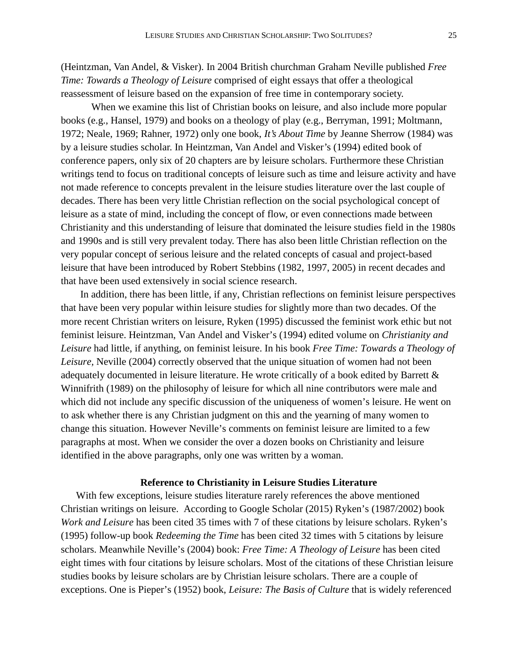(Heintzman, Van Andel, & Visker). In 2004 British churchman Graham Neville published *Free Time: Towards a Theology of Leisure* comprised of eight essays that offer a theological reassessment of leisure based on the expansion of free time in contemporary society.

When we examine this list of Christian books on leisure, and also include more popular books (e.g., Hansel, 1979) and books on a theology of play (e.g., Berryman, 1991; Moltmann, 1972; Neale, 1969; Rahner, 1972) only one book, *It's About Time* by Jeanne Sherrow (1984) was by a leisure studies scholar. In Heintzman, Van Andel and Visker's (1994) edited book of conference papers, only six of 20 chapters are by leisure scholars. Furthermore these Christian writings tend to focus on traditional concepts of leisure such as time and leisure activity and have not made reference to concepts prevalent in the leisure studies literature over the last couple of decades. There has been very little Christian reflection on the social psychological concept of leisure as a state of mind, including the concept of flow, or even connections made between Christianity and this understanding of leisure that dominated the leisure studies field in the 1980s and 1990s and is still very prevalent today. There has also been little Christian reflection on the very popular concept of serious leisure and the related concepts of casual and project-based leisure that have been introduced by Robert Stebbins (1982, 1997, 2005) in recent decades and that have been used extensively in social science research.

In addition, there has been little, if any, Christian reflections on feminist leisure perspectives that have been very popular within leisure studies for slightly more than two decades. Of the more recent Christian writers on leisure, Ryken (1995) discussed the feminist work ethic but not feminist leisure. Heintzman, Van Andel and Visker's (1994) edited volume on *Christianity and Leisure* had little, if anything, on feminist leisure. In his book *Free Time: Towards a Theology of Leisure,* Neville (2004) correctly observed that the unique situation of women had not been adequately documented in leisure literature. He wrote critically of a book edited by Barrett & Winnifrith (1989) on the philosophy of leisure for which all nine contributors were male and which did not include any specific discussion of the uniqueness of women's leisure. He went on to ask whether there is any Christian judgment on this and the yearning of many women to change this situation. However Neville's comments on feminist leisure are limited to a few paragraphs at most. When we consider the over a dozen books on Christianity and leisure identified in the above paragraphs, only one was written by a woman.

### **Reference to Christianity in Leisure Studies Literature**

With few exceptions, leisure studies literature rarely references the above mentioned Christian writings on leisure. According to Google Scholar (2015) Ryken's (1987/2002) book *Work and Leisure* has been cited 35 times with 7 of these citations by leisure scholars. Ryken's (1995) follow-up book *Redeeming the Time* has been cited 32 times with 5 citations by leisure scholars. Meanwhile Neville's (2004) book: *Free Time: A Theology of Leisure* has been cited eight times with four citations by leisure scholars. Most of the citations of these Christian leisure studies books by leisure scholars are by Christian leisure scholars. There are a couple of exceptions. One is Pieper's (1952) book, *Leisure: The Basis of Culture* that is widely referenced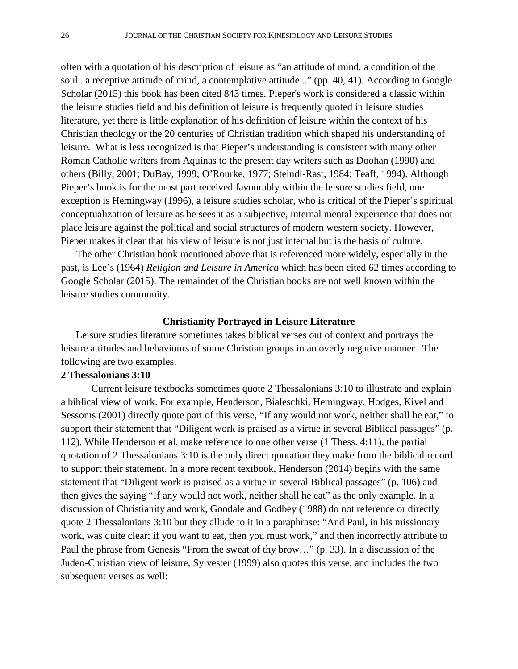often with a quotation of his description of leisure as "an attitude of mind, a condition of the soul...a receptive attitude of mind, a contemplative attitude..." (pp. 40, 41). According to Google Scholar (2015) this book has been cited 843 times. Pieper's work is considered a classic within the leisure studies field and his definition of leisure is frequently quoted in leisure studies literature, yet there is little explanation of his definition of leisure within the context of his Christian theology or the 20 centuries of Christian tradition which shaped his understanding of leisure. What is less recognized is that Pieper's understanding is consistent with many other Roman Catholic writers from Aquinas to the present day writers such as Doohan (1990) and others (Billy, 2001; DuBay, 1999; O'Rourke, 1977; Steindl-Rast, 1984; Teaff, 1994). Although Pieper's book is for the most part received favourably within the leisure studies field, one exception is Hemingway (1996), a leisure studies scholar, who is critical of the Pieper's spiritual conceptualization of leisure as he sees it as a subjective, internal mental experience that does not place leisure against the political and social structures of modern western society. However, Pieper makes it clear that his view of leisure is not just internal but is the basis of culture.

The other Christian book mentioned above that is referenced more widely, especially in the past, is Lee's (1964) *Religion and Leisure in America* which has been cited 62 times according to Google Scholar (2015). The remainder of the Christian books are not well known within the leisure studies community.

# **Christianity Portrayed in Leisure Literature**

Leisure studies literature sometimes takes biblical verses out of context and portrays the leisure attitudes and behaviours of some Christian groups in an overly negative manner. The following are two examples.

# **2 Thessalonians 3:10**

Current leisure textbooks sometimes quote 2 Thessalonians 3:10 to illustrate and explain a biblical view of work. For example, Henderson, Bialeschki, Hemingway, Hodges, Kivel and Sessoms (2001) directly quote part of this verse, "If any would not work, neither shall he eat," to support their statement that "Diligent work is praised as a virtue in several Biblical passages" (p. 112). While Henderson et al. make reference to one other verse (1 Thess. 4:11), the partial quotation of 2 Thessalonians 3:10 is the only direct quotation they make from the biblical record to support their statement. In a more recent textbook, Henderson (2014) begins with the same statement that "Diligent work is praised as a virtue in several Biblical passages" (p. 106) and then gives the saying "If any would not work, neither shall he eat" as the only example. In a discussion of Christianity and work, Goodale and Godbey (1988) do not reference or directly quote 2 Thessalonians 3:10 but they allude to it in a paraphrase: "And Paul, in his missionary work, was quite clear; if you want to eat, then you must work," and then incorrectly attribute to Paul the phrase from Genesis "From the sweat of thy brow…" (p. 33). In a discussion of the Judeo-Christian view of leisure, Sylvester (1999) also quotes this verse, and includes the two subsequent verses as well: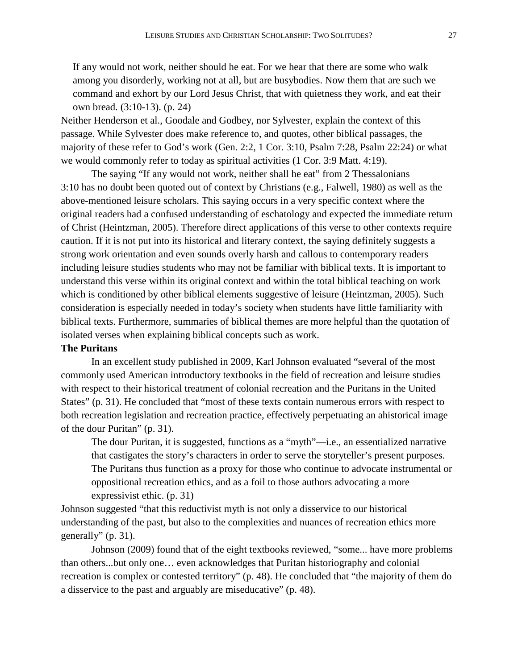If any would not work, neither should he eat. For we hear that there are some who walk among you disorderly, working not at all, but are busybodies. Now them that are such we command and exhort by our Lord Jesus Christ, that with quietness they work, and eat their own bread. (3:10-13). (p. 24)

Neither Henderson et al., Goodale and Godbey, nor Sylvester, explain the context of this passage. While Sylvester does make reference to, and quotes, other biblical passages, the majority of these refer to God's work (Gen. 2:2, 1 Cor. 3:10, Psalm 7:28, Psalm 22:24) or what we would commonly refer to today as spiritual activities (1 Cor. 3:9 Matt. 4:19).

The saying "If any would not work, neither shall he eat" from 2 Thessalonians 3:10 has no doubt been quoted out of context by Christians (e.g., Falwell, 1980) as well as the above-mentioned leisure scholars. This saying occurs in a very specific context where the original readers had a confused understanding of eschatology and expected the immediate return of Christ (Heintzman, 2005). Therefore direct applications of this verse to other contexts require caution. If it is not put into its historical and literary context, the saying definitely suggests a strong work orientation and even sounds overly harsh and callous to contemporary readers including leisure studies students who may not be familiar with biblical texts. It is important to understand this verse within its original context and within the total biblical teaching on work which is conditioned by other biblical elements suggestive of leisure (Heintzman, 2005). Such consideration is especially needed in today's society when students have little familiarity with biblical texts. Furthermore, summaries of biblical themes are more helpful than the quotation of isolated verses when explaining biblical concepts such as work.

# **The Puritans**

In an excellent study published in 2009, Karl Johnson evaluated "several of the most commonly used American introductory textbooks in the field of recreation and leisure studies with respect to their historical treatment of colonial recreation and the Puritans in the United States" (p. 31). He concluded that "most of these texts contain numerous errors with respect to both recreation legislation and recreation practice, effectively perpetuating an ahistorical image of the dour Puritan" (p. 31).

The dour Puritan, it is suggested, functions as a "myth"—i.e., an essentialized narrative that castigates the story's characters in order to serve the storyteller's present purposes. The Puritans thus function as a proxy for those who continue to advocate instrumental or oppositional recreation ethics, and as a foil to those authors advocating a more expressivist ethic. (p. 31)

Johnson suggested "that this reductivist myth is not only a disservice to our historical understanding of the past, but also to the complexities and nuances of recreation ethics more generally" (p. 31).

Johnson (2009) found that of the eight textbooks reviewed, "some... have more problems than others...but only one… even acknowledges that Puritan historiography and colonial recreation is complex or contested territory" (p. 48). He concluded that "the majority of them do a disservice to the past and arguably are miseducative" (p. 48).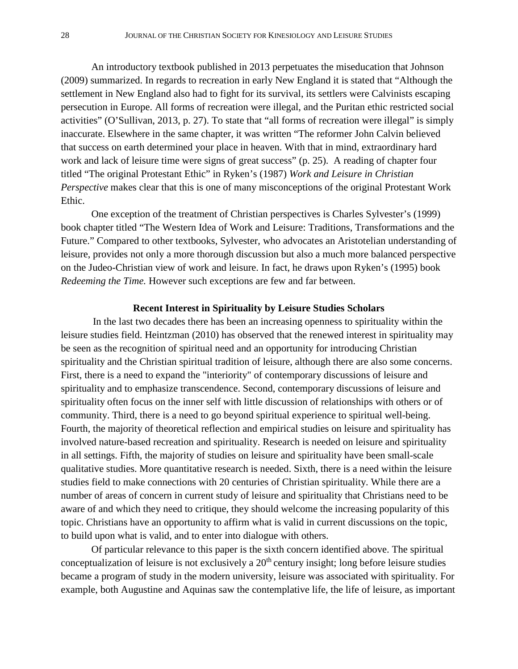An introductory textbook published in 2013 perpetuates the miseducation that Johnson (2009) summarized. In regards to recreation in early New England it is stated that "Although the settlement in New England also had to fight for its survival, its settlers were Calvinists escaping persecution in Europe. All forms of recreation were illegal, and the Puritan ethic restricted social activities" (O'Sullivan, 2013, p. 27). To state that "all forms of recreation were illegal" is simply inaccurate. Elsewhere in the same chapter, it was written "The reformer John Calvin believed that success on earth determined your place in heaven. With that in mind, extraordinary hard work and lack of leisure time were signs of great success" (p. 25). A reading of chapter four titled "The original Protestant Ethic" in Ryken's (1987) *Work and Leisure in Christian Perspective* makes clear that this is one of many misconceptions of the original Protestant Work Ethic.

One exception of the treatment of Christian perspectives is Charles Sylvester's (1999) book chapter titled "The Western Idea of Work and Leisure: Traditions, Transformations and the Future." Compared to other textbooks, Sylvester, who advocates an Aristotelian understanding of leisure, provides not only a more thorough discussion but also a much more balanced perspective on the Judeo-Christian view of work and leisure. In fact, he draws upon Ryken's (1995) book *Redeeming the Time.* However such exceptions are few and far between.

### **Recent Interest in Spirituality by Leisure Studies Scholars**

In the last two decades there has been an increasing openness to spirituality within the leisure studies field. Heintzman (2010) has observed that the renewed interest in spirituality may be seen as the recognition of spiritual need and an opportunity for introducing Christian spirituality and the Christian spiritual tradition of leisure, although there are also some concerns. First, there is a need to expand the "interiority" of contemporary discussions of leisure and spirituality and to emphasize transcendence. Second, contemporary discussions of leisure and spirituality often focus on the inner self with little discussion of relationships with others or of community. Third, there is a need to go beyond spiritual experience to spiritual well-being. Fourth, the majority of theoretical reflection and empirical studies on leisure and spirituality has involved nature-based recreation and spirituality. Research is needed on leisure and spirituality in all settings. Fifth, the majority of studies on leisure and spirituality have been small-scale qualitative studies. More quantitative research is needed. Sixth, there is a need within the leisure studies field to make connections with 20 centuries of Christian spirituality. While there are a number of areas of concern in current study of leisure and spirituality that Christians need to be aware of and which they need to critique, they should welcome the increasing popularity of this topic. Christians have an opportunity to affirm what is valid in current discussions on the topic, to build upon what is valid, and to enter into dialogue with others.

Of particular relevance to this paper is the sixth concern identified above. The spiritual conceptualization of leisure is not exclusively a  $20<sup>th</sup>$  century insight; long before leisure studies became a program of study in the modern university, leisure was associated with spirituality. For example, both Augustine and Aquinas saw the contemplative life, the life of leisure, as important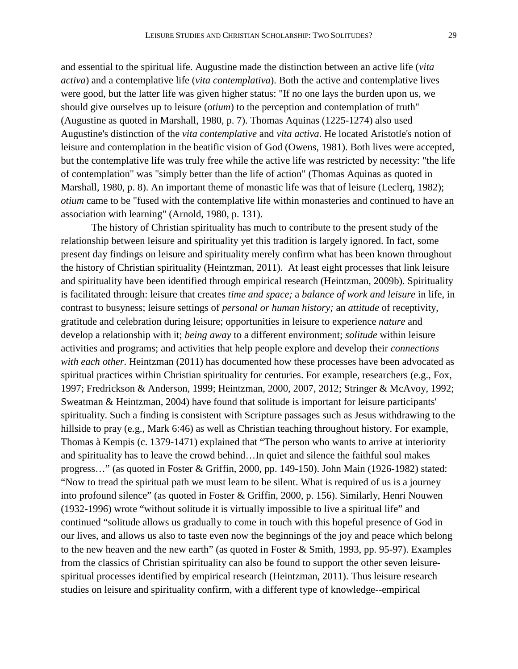and essential to the spiritual life. Augustine made the distinction between an active life (*vita activa*) and a contemplative life (*vita contemplativa*). Both the active and contemplative lives were good, but the latter life was given higher status: "If no one lays the burden upon us, we should give ourselves up to leisure (*otium*) to the perception and contemplation of truth" (Augustine as quoted in Marshall, 1980, p. 7). Thomas Aquinas (1225-1274) also used Augustine's distinction of the *vita contemplative* and *vita activa*. He located Aristotle's notion of leisure and contemplation in the beatific vision of God (Owens, 1981). Both lives were accepted, but the contemplative life was truly free while the active life was restricted by necessity: "the life of contemplation" was "simply better than the life of action" (Thomas Aquinas as quoted in Marshall, 1980, p. 8). An important theme of monastic life was that of leisure (Leclerq, 1982); *otium* came to be "fused with the contemplative life within monasteries and continued to have an association with learning" (Arnold, 1980, p. 131).

The history of Christian spirituality has much to contribute to the present study of the relationship between leisure and spirituality yet this tradition is largely ignored. In fact, some present day findings on leisure and spirituality merely confirm what has been known throughout the history of Christian spirituality (Heintzman, 2011). At least eight processes that link leisure and spirituality have been identified through empirical research (Heintzman, 2009b). Spirituality is facilitated through: leisure that creates *time and space;* a *balance of work and leisure* in life, in contrast to busyness; leisure settings of *personal or human history;* an *attitude* of receptivity, gratitude and celebration during leisure; opportunities in leisure to experience *nature* and develop a relationship with it; *being away* to a different environment; *solitude* within leisure activities and programs; and activities that help people explore and develop their *connections with each other*. Heintzman (2011) has documented how these processes have been advocated as spiritual practices within Christian spirituality for centuries. For example, researchers (e.g., Fox, 1997; Fredrickson & Anderson, 1999; Heintzman, 2000, 2007, 2012; Stringer & McAvoy, 1992; Sweatman & Heintzman, 2004) have found that solitude is important for leisure participants' spirituality. Such a finding is consistent with Scripture passages such as Jesus withdrawing to the hillside to pray (e.g., Mark 6:46) as well as Christian teaching throughout history. For example, Thomas à Kempis (c. 1379-1471) explained that "The person who wants to arrive at interiority and spirituality has to leave the crowd behind…In quiet and silence the faithful soul makes progress…" (as quoted in Foster & Griffin, 2000, pp. 149-150). John Main (1926-1982) stated: "Now to tread the spiritual path we must learn to be silent. What is required of us is a journey into profound silence" (as quoted in Foster & Griffin, 2000, p. 156). Similarly, Henri Nouwen (1932-1996) wrote "without solitude it is virtually impossible to live a spiritual life" and continued "solitude allows us gradually to come in touch with this hopeful presence of God in our lives, and allows us also to taste even now the beginnings of the joy and peace which belong to the new heaven and the new earth" (as quoted in Foster & Smith, 1993, pp. 95-97). Examples from the classics of Christian spirituality can also be found to support the other seven leisurespiritual processes identified by empirical research (Heintzman, 2011). Thus leisure research studies on leisure and spirituality confirm, with a different type of knowledge--empirical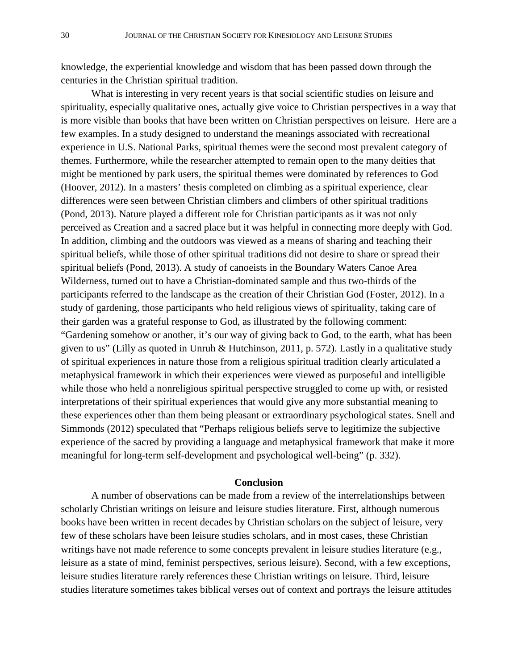knowledge, the experiential knowledge and wisdom that has been passed down through the centuries in the Christian spiritual tradition.

What is interesting in very recent years is that social scientific studies on leisure and spirituality, especially qualitative ones, actually give voice to Christian perspectives in a way that is more visible than books that have been written on Christian perspectives on leisure. Here are a few examples. In a study designed to understand the meanings associated with recreational experience in U.S. National Parks, spiritual themes were the second most prevalent category of themes. Furthermore, while the researcher attempted to remain open to the many deities that might be mentioned by park users, the spiritual themes were dominated by references to God (Hoover, 2012). In a masters' thesis completed on climbing as a spiritual experience, clear differences were seen between Christian climbers and climbers of other spiritual traditions (Pond, 2013). Nature played a different role for Christian participants as it was not only perceived as Creation and a sacred place but it was helpful in connecting more deeply with God. In addition, climbing and the outdoors was viewed as a means of sharing and teaching their spiritual beliefs, while those of other spiritual traditions did not desire to share or spread their spiritual beliefs (Pond, 2013). A study of canoeists in the Boundary Waters Canoe Area Wilderness, turned out to have a Christian-dominated sample and thus two-thirds of the participants referred to the landscape as the creation of their Christian God (Foster, 2012). In a study of gardening, those participants who held religious views of spirituality, taking care of their garden was a grateful response to God, as illustrated by the following comment: "Gardening somehow or another, it's our way of giving back to God, to the earth, what has been given to us" (Lilly as quoted in Unruh & Hutchinson, 2011, p. 572). Lastly in a qualitative study of spiritual experiences in nature those from a religious spiritual tradition clearly articulated a metaphysical framework in which their experiences were viewed as purposeful and intelligible while those who held a nonreligious spiritual perspective struggled to come up with, or resisted interpretations of their spiritual experiences that would give any more substantial meaning to these experiences other than them being pleasant or extraordinary psychological states. Snell and Simmonds (2012) speculated that "Perhaps religious beliefs serve to legitimize the subjective experience of the sacred by providing a language and metaphysical framework that make it more meaningful for long-term self-development and psychological well-being" (p. 332).

### **Conclusion**

A number of observations can be made from a review of the interrelationships between scholarly Christian writings on leisure and leisure studies literature. First, although numerous books have been written in recent decades by Christian scholars on the subject of leisure, very few of these scholars have been leisure studies scholars, and in most cases, these Christian writings have not made reference to some concepts prevalent in leisure studies literature (e.g., leisure as a state of mind, feminist perspectives, serious leisure). Second, with a few exceptions, leisure studies literature rarely references these Christian writings on leisure. Third, leisure studies literature sometimes takes biblical verses out of context and portrays the leisure attitudes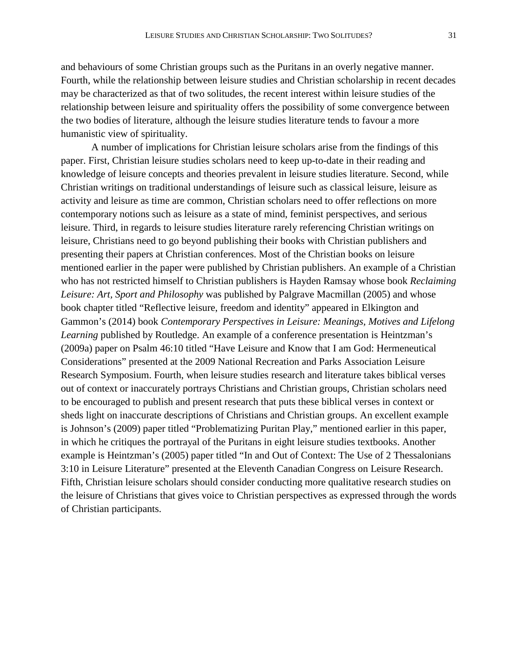and behaviours of some Christian groups such as the Puritans in an overly negative manner. Fourth, while the relationship between leisure studies and Christian scholarship in recent decades may be characterized as that of two solitudes, the recent interest within leisure studies of the relationship between leisure and spirituality offers the possibility of some convergence between the two bodies of literature, although the leisure studies literature tends to favour a more humanistic view of spirituality.

A number of implications for Christian leisure scholars arise from the findings of this paper. First, Christian leisure studies scholars need to keep up-to-date in their reading and knowledge of leisure concepts and theories prevalent in leisure studies literature. Second, while Christian writings on traditional understandings of leisure such as classical leisure, leisure as activity and leisure as time are common, Christian scholars need to offer reflections on more contemporary notions such as leisure as a state of mind, feminist perspectives, and serious leisure. Third, in regards to leisure studies literature rarely referencing Christian writings on leisure, Christians need to go beyond publishing their books with Christian publishers and presenting their papers at Christian conferences. Most of the Christian books on leisure mentioned earlier in the paper were published by Christian publishers. An example of a Christian who has not restricted himself to Christian publishers is Hayden Ramsay whose book *Reclaiming Leisure: Art, Sport and Philosophy* was published by Palgrave Macmillan (2005) and whose book chapter titled "Reflective leisure, freedom and identity" appeared in Elkington and Gammon's (2014) book *Contemporary Perspectives in Leisure: Meanings, Motives and Lifelong Learning* published by Routledge. An example of a conference presentation is Heintzman's (2009a) paper on Psalm 46:10 titled "Have Leisure and Know that I am God: Hermeneutical Considerations" presented at the 2009 National Recreation and Parks Association Leisure Research Symposium. Fourth, when leisure studies research and literature takes biblical verses out of context or inaccurately portrays Christians and Christian groups, Christian scholars need to be encouraged to publish and present research that puts these biblical verses in context or sheds light on inaccurate descriptions of Christians and Christian groups. An excellent example is Johnson's (2009) paper titled "Problematizing Puritan Play," mentioned earlier in this paper, in which he critiques the portrayal of the Puritans in eight leisure studies textbooks. Another example is Heintzman's (2005) paper titled "In and Out of Context: The Use of 2 Thessalonians 3:10 in Leisure Literature" presented at the Eleventh Canadian Congress on Leisure Research. Fifth, Christian leisure scholars should consider conducting more qualitative research studies on the leisure of Christians that gives voice to Christian perspectives as expressed through the words of Christian participants.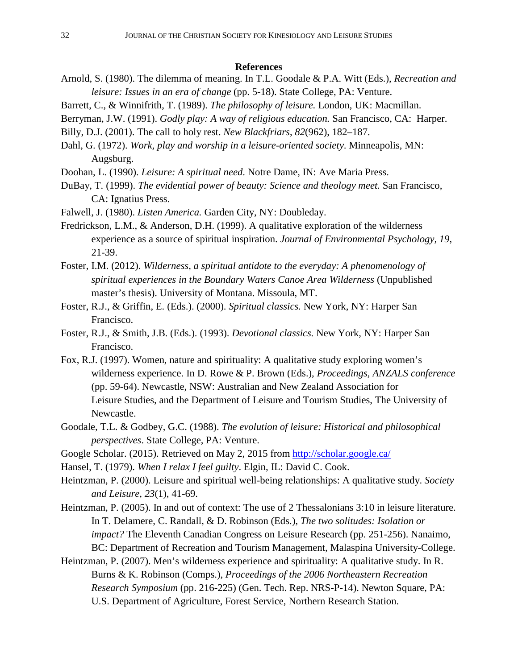#### **References**

- Arnold, S. (1980). The dilemma of meaning. In T.L. Goodale & P.A. Witt (Eds.), *Recreation and leisure: Issues in an era of change* (pp. 5-18). State College, PA: Venture.
- Barrett, C., & Winnifrith, T. (1989). *The philosophy of leisure.* London, UK: Macmillan.
- Berryman, J.W. (1991). *Godly play: A way of religious education.* San Francisco, CA: Harper.
- Billy, D.J. (2001). The call to holy rest. *New Blackfriars*, *82*(962), 182–187.
- Dahl, G. (1972). *Work, play and worship in a leisure-oriented society*. Minneapolis, MN: Augsburg.
- Doohan, L. (1990). *Leisure: A spiritual need*. Notre Dame, IN: Ave Maria Press.
- DuBay, T. (1999). *The evidential power of beauty: Science and theology meet.* San Francisco, CA: Ignatius Press.
- Falwell, J. (1980). *Listen America.* Garden City, NY: Doubleday.
- Fredrickson, L.M., & Anderson, D.H. (1999). A qualitative exploration of the wilderness experience as a source of spiritual inspiration. *Journal of Environmental Psychology, 19*, 21-39.
- Foster, I.M. (2012). *Wilderness, a spiritual antidote to the everyday: A phenomenology of spiritual experiences in the Boundary Waters Canoe Area Wilderness* (Unpublished master's thesis). University of Montana. Missoula, MT.
- Foster, R.J., & Griffin, E. (Eds.). (2000). *Spiritual classics.* New York, NY: Harper San Francisco.
- Foster, R.J., & Smith, J.B. (Eds.). (1993). *Devotional classics.* New York, NY: Harper San Francisco.
- Fox, R.J. (1997). Women, nature and spirituality: A qualitative study exploring women's wilderness experience. In D. Rowe & P. Brown (Eds.), *Proceedings, ANZALS conference*  (pp. 59-64). Newcastle, NSW: Australian and New Zealand Association for Leisure Studies, and the Department of Leisure and Tourism Studies, The University of Newcastle.
- Goodale, T.L. & Godbey, G.C. (1988). *The evolution of leisure: Historical and philosophical perspectives*. State College, PA: Venture.
- Google Scholar. (2015). Retrieved on May 2, 2015 from<http://scholar.google.ca/>
- Hansel, T. (1979). *When I relax I feel guilty*. Elgin, IL: David C. Cook.
- Heintzman, P. (2000). Leisure and spiritual well-being relationships: A qualitative study. *Society and Leisure, 23*(1), 41-69.
- Heintzman, P. (2005). In and out of context: The use of 2 Thessalonians 3:10 in leisure literature. In T. Delamere, C. Randall, & D. Robinson (Eds.), *The two solitudes: Isolation or impact?* The Eleventh Canadian Congress on Leisure Research (pp. 251-256). Nanaimo, BC: Department of Recreation and Tourism Management, Malaspina University-College.
- Heintzman, P. (2007). Men's wilderness experience and spirituality: A qualitative study. In R. Burns & K. Robinson (Comps.), *Proceedings of the 2006 Northeastern Recreation Research Symposium* (pp. 216-225) (Gen. Tech. Rep. NRS-P-14). Newton Square, PA: U.S. Department of Agriculture, Forest Service, Northern Research Station.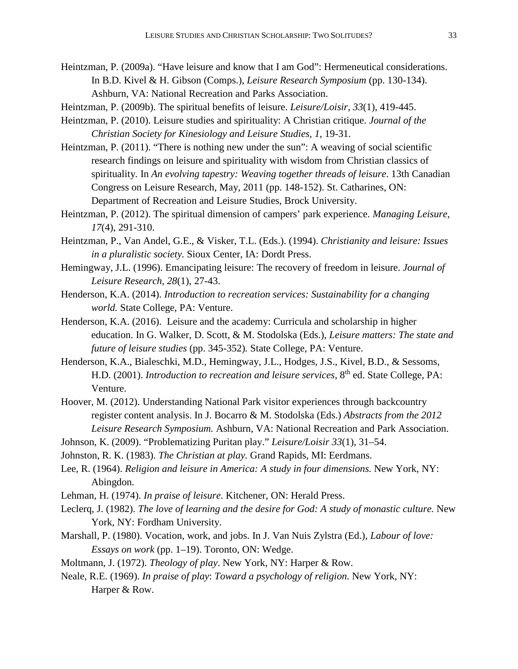Heintzman, P. (2009a). "Have leisure and know that I am God": Hermeneutical considerations. In B.D. Kivel & H. Gibson (Comps.), *Leisure Research Symposium* (pp. 130-134). Ashburn, VA: National Recreation and Parks Association.

Heintzman, P. (2009b). The spiritual benefits of leisure. *Leisure/Loisir, 33*(1), 419-445.

- Heintzman, P. (2010). Leisure studies and spirituality: A Christian critique. *Journal of the Christian Society for Kinesiology and Leisure Studies, 1*, 19-31.
- Heintzman, P. (2011). "There is nothing new under the sun": A weaving of social scientific research findings on leisure and spirituality with wisdom from Christian classics of spirituality. In *An evolving tapestry: Weaving together threads of leisure*. 13th Canadian Congress on Leisure Research, May, 2011 (pp. 148-152). St. Catharines, ON: Department of Recreation and Leisure Studies, Brock University.
- Heintzman, P. (2012). The spiritual dimension of campers' park experience. *Managing Leisure, 17*(4), 291-310.
- Heintzman, P., Van Andel, G.E., & Visker, T.L. (Eds.). (1994). *Christianity and leisure: Issues in a pluralistic society.* Sioux Center, IA: Dordt Press.
- Hemingway, J.L. (1996). Emancipating leisure: The recovery of freedom in leisure. *Journal of Leisure Research, 28*(1), 27-43.
- Henderson, K.A. (2014). *Introduction to recreation services: Sustainability for a changing world.* State College, PA: Venture.
- Henderson, K.A. (2016). Leisure and the academy: Curricula and scholarship in higher education. In G. Walker, D. Scott, & M. Stodolska (Eds.), *Leisure matters: The state and future of leisure studies* (pp. 345-352)*.* State College, PA: Venture.
- Henderson, K.A., Bialeschki, M.D., Hemingway, J.L., Hodges, J.S., Kivel, B.D., & Sessoms, H.D. (2001). *Introduction to recreation and leisure services*, 8<sup>th</sup> ed. State College, PA: Venture.
- Hoover, M. (2012). Understanding National Park visitor experiences through backcountry register content analysis. In J. Bocarro & M. Stodolska (Eds.) *Abstracts from the 2012 Leisure Research Symposium.* Ashburn, VA: National Recreation and Park Association.
- Johnson, K. (2009). "Problematizing Puritan play." *Leisure/Loisir 33*(1), 31–54.
- Johnston, R. K. (1983). *The Christian at play.* Grand Rapids, MI: Eerdmans.
- Lee, R. (1964). *Religion and leisure in America: A study in four dimensions.* New York, NY: Abingdon.
- Lehman, H. (1974). *In praise of leisure*. Kitchener, ON: Herald Press.
- Leclerq, J. (1982). *The love of learning and the desire for God: A study of monastic culture.* New York, NY: Fordham University.
- Marshall, P. (1980). Vocation, work, and jobs. In J. Van Nuis Zylstra (Ed.), *Labour of love: Essays on work* (pp. 1–19). Toronto, ON: Wedge.
- Moltmann, J. (1972). *Theology of play*. New York, NY: Harper & Row.
- Neale, R.E. (1969). *In praise of play*: *Toward a psychology of religion.* New York, NY: Harper & Row.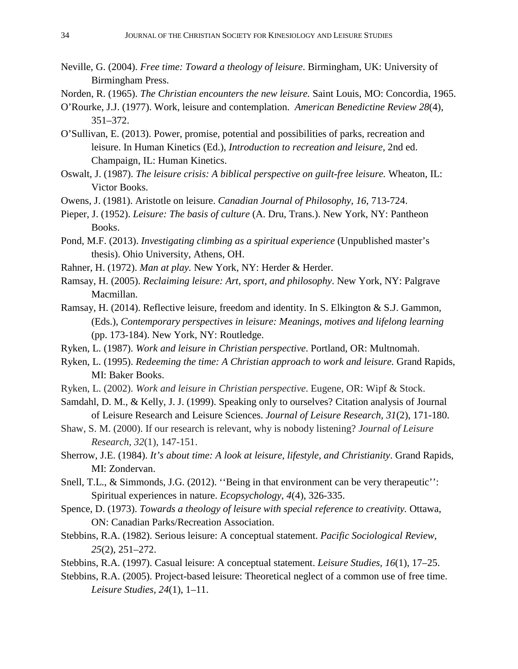- Neville, G. (2004). *Free time: Toward a theology of leisure*. Birmingham, UK: University of Birmingham Press.
- Norden, R. (1965). *The Christian encounters the new leisure.* Saint Louis, MO: Concordia, 1965.
- O'Rourke, J.J. (1977). Work, leisure and contemplation. *American Benedictine Review 28*(4), 351–372.
- O'Sullivan, E. (2013). Power, promise, potential and possibilities of parks, recreation and leisure. In Human Kinetics (Ed.), *Introduction to recreation and leisure,* 2nd ed. Champaign, IL: Human Kinetics.
- Oswalt, J. (1987). *The leisure crisis: A biblical perspective on guilt-free leisure.* Wheaton, IL: Victor Books.
- Owens, J. (1981). Aristotle on leisure. *Canadian Journal of Philosophy, 16,* 713-724.
- Pieper, J. (1952). *Leisure: The basis of culture* (A. Dru, Trans.). New York, NY: Pantheon Books.
- Pond, M.F. (2013). *Investigating climbing as a spiritual experience* (Unpublished master's thesis). Ohio University, Athens, OH.
- Rahner, H. (1972). *Man at play.* New York, NY: Herder & Herder.
- Ramsay, H. (2005). *Reclaiming leisure: Art, sport, and philosophy*. New York, NY: Palgrave Macmillan.
- Ramsay, H. (2014). Reflective leisure, freedom and identity. In S. Elkington & S.J. Gammon, (Eds.), *Contemporary perspectives in leisure: Meanings, motives and lifelong learning* (pp. 173-184). New York, NY: Routledge.
- Ryken, L. (1987). *Work and leisure in Christian perspective*. Portland, OR: Multnomah.
- Ryken, L. (1995). *Redeeming the time: A Christian approach to work and leisure.* Grand Rapids, MI: Baker Books.
- Ryken, L. (2002). *Work and leisure in Christian perspective*. Eugene, OR: Wipf & Stock.
- Samdahl, D. M., & Kelly, J. J. (1999). Speaking only to ourselves? Citation analysis of Journal of Leisure Research and Leisure Sciences. *Journal of Leisure Research, 31*(2), 171-180.
- Shaw, S. M. (2000). If our research is relevant, why is nobody listening? *Journal of Leisure Research*, *32*(1), 147-151.
- Sherrow, J.E. (1984). *It's about time: A look at leisure, lifestyle, and Christianity*. Grand Rapids, MI: Zondervan.
- Snell, T.L., & Simmonds, J.G. (2012). ''Being in that environment can be very therapeutic'': Spiritual experiences in nature. *Ecopsychology*, *4*(4), 326-335.
- Spence, D. (1973). *Towards a theology of leisure with special reference to creativity.* Ottawa, ON: Canadian Parks/Recreation Association.
- Stebbins, R.A. (1982). Serious leisure: A conceptual statement. *Pacific Sociological Review, 25*(2), 251–272.
- Stebbins, R.A. (1997). Casual leisure: A conceptual statement. *Leisure Studies, 16*(1), 17–25.
- Stebbins, R.A. (2005). Project-based leisure: Theoretical neglect of a common use of free time. *Leisure Studies, 24*(1), 1–11.